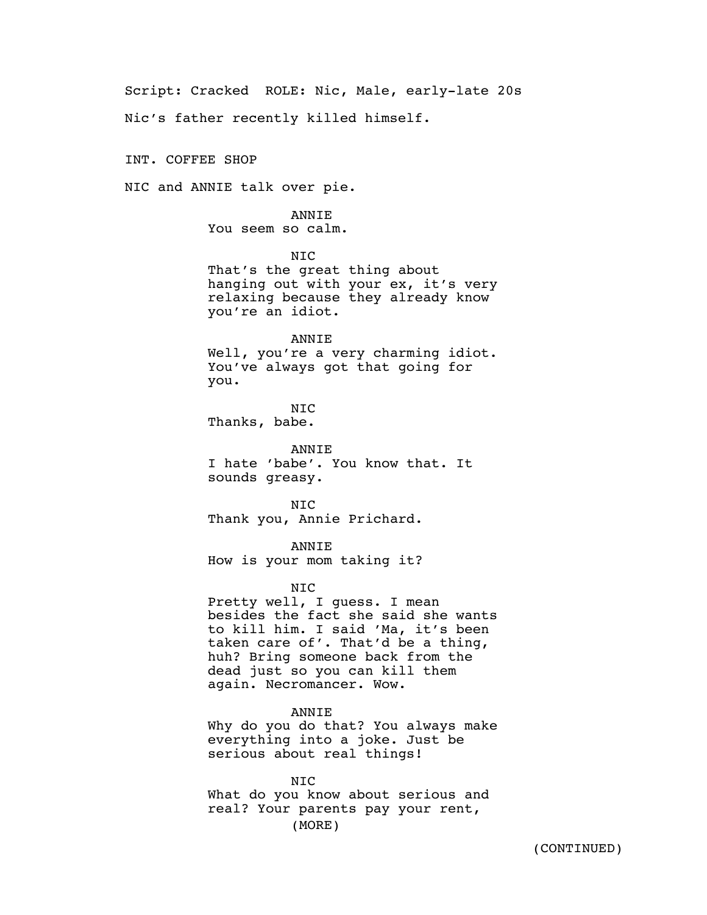Script: Cracked ROLE: Nic, Male, early-late 20s

Nic's father recently killed himself.

INT. COFFEE SHOP

NIC and ANNIE talk over pie.

ANNIE You seem so calm.

NIC

That's the great thing about hanging out with your ex, it's very relaxing because they already know you're an idiot.

ANNIE

Well, you're a very charming idiot. You've always got that going for you.

NIC Thanks, babe.

ANNIE I hate 'babe'. You know that. It sounds greasy.

N<sub>TC</sub> Thank you, Annie Prichard.

ANNIE How is your mom taking it?

NIC

Pretty well, I guess. I mean besides the fact she said she wants to kill him. I said 'Ma, it's been taken care of'. That'd be a thing, huh? Bring someone back from the dead just so you can kill them again. Necromancer. Wow.

ANNIE Why do you do that? You always make everything into a joke. Just be serious about real things!

NIC What do you know about serious and real? Your parents pay your rent, (MORE)